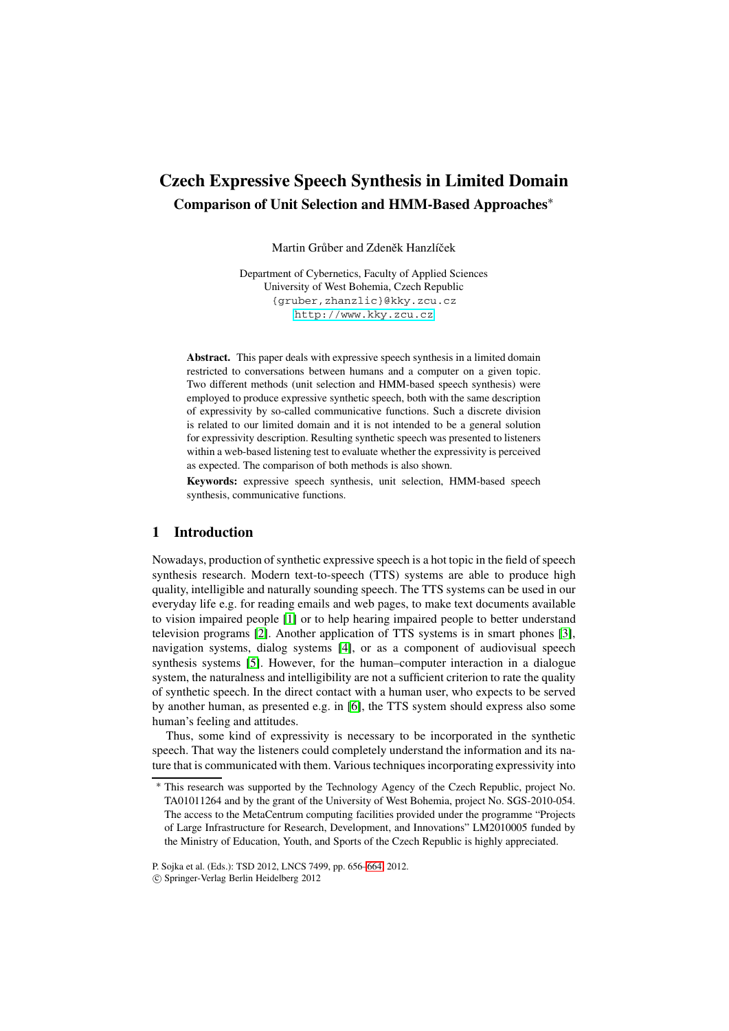# **Czech Expressive Speech Synthesis in Limited Domain Comparison of Unit Selection and HMM-Based Approaches**∗

Martin Grůber and Zdeněk Hanzlíček

Department of Cybernetics, Faculty of Applied Sciences University of West Bohemia, Czech Republic {gruber,zhanzlic}@kky.zcu.cz <http://www.kky.zcu.cz>

**Abstract.** This paper deals with expressive speech synthesis in a limited domain restricted to conversations between humans and a computer on a given topic. Two different methods (unit selection and HMM-based speech synthesis) were employed to produce expressive synthetic speech, both with the same description of expressivity by so-called communicative functions. Such a discrete division is related to our limited domain and it is not intended to be a general solution for expressivity description. Resulting synthetic speech was presented to listeners within a web-based listening test to evaluate whether the expressivity is perceived as expected. The comparison of both methods is also shown.

**Keywords:** expressive speech synthesis, unit selection, HMM-based speech synthesis, communicative functions.

## **1 Introduction**

Nowadays, production of synthetic expressive speech is a hot topic in the field of speech synthesis research. Modern text-to-speech (TTS) systems are able to produce high quality, intelligible and naturally sounding speech. The TTS systems can be used in our everyday life e.g. for reading emails and web pages, to make text documents available to vision impaired people [\[1\]](#page-7-0) or to help hearing impaired people to better understand television programs [\[2\]](#page-7-1). Another application of TTS systems is in smart phones [\[3\]](#page-7-2), navigation systems, dialog systems [\[4\]](#page-7-3), or as a component of audiovisual speech synthesis systems [\[5\]](#page-7-4). However, for the human–computer interaction in a dialogue system, the naturalness and intelligibility are not a sufficient criterion to rate the quality of synthetic speech. In the direct contact with a human user, who expects to be served by another human, as presented e.g. in [\[6\]](#page-7-5), the TTS system should express also some human's feeling and attitudes.

Thus, some kind of expressivity is necessary to be incorporated in the synthetic speech. That way the listeners could completely understand the information and its nature that is communicated with them. Various techniques incorporating expressivity into

This research was supported by the Technology Agency of the Czech Republic, project No. TA01011264 and by the grant of the University of West Bohemia, project No. SGS-2010-054. The access to the MetaCentrum computing facilities provided under the programme "Projects of Large Infrastructure for Research, Development, and Innovations" LM2010005 funded by the Ministry of Education, Youth, and Sports of the Czech Republic is highly appreciated.

P. Sojka et al. (Eds.): TSD 2012, LNCS 7499, pp. 656[–664,](#page-7-6) 2012.

c Springer-Verlag Berlin Heidelberg 2012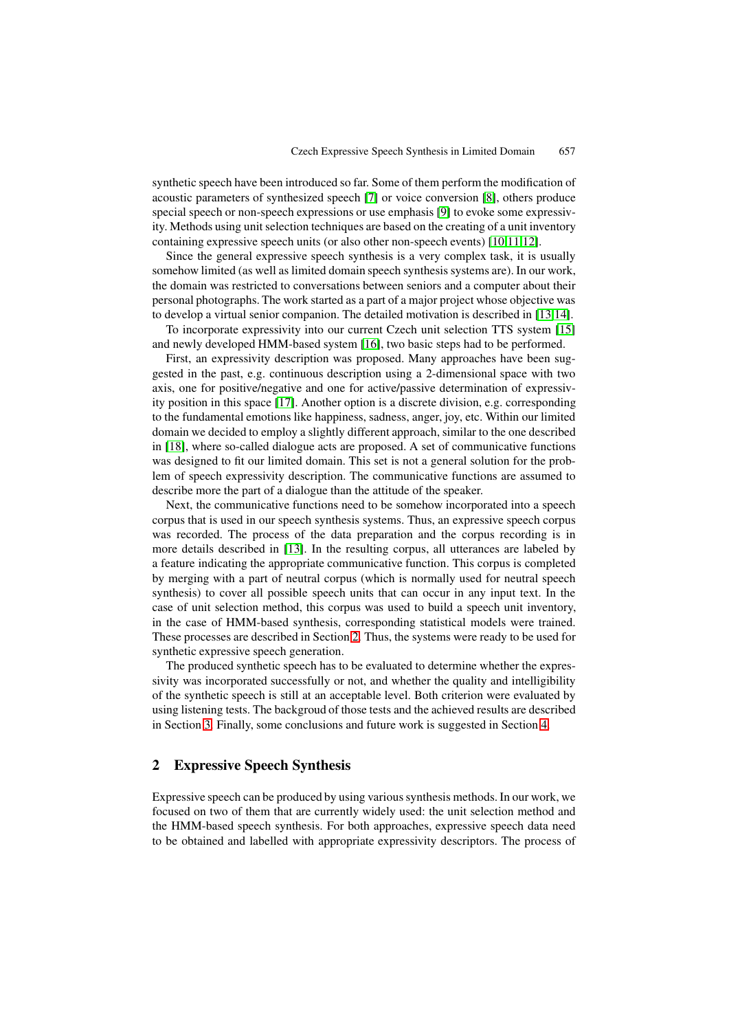synthetic speech have been introduced so far. Some of them perform the modification of acoustic parameters of synthesized speech [\[7\]](#page-7-7) or voice conversion [\[8\]](#page-7-8), others produce special speech or non-speech expressions or use emphasis [\[9\]](#page-8-0) to evoke some expressivity. Methods using unit selection techniques are based on the creating of a unit inventory containing expressive speech units (or also other non-speech events) [\[10](#page-8-1)[,11](#page-8-2)[,12\]](#page-8-3).

Since the general expressive speech synthesis is a very complex task, it is usually somehow limited (as well as limited domain speech synthesis systems are). In our work, the domain was restricted to conversations between seniors and a computer about their personal photographs. The work started as a part of a major project whose objective was to develop a virtual senior companion. The detailed motivation is described in [\[13](#page-8-4)[,14\]](#page-8-5).

To incorporate expressivity into our current Czech unit selection TTS system [\[15\]](#page-8-6) and newly developed HMM-based system [\[16\]](#page-8-7), two basic steps had to be performed.

First, an expressivity description was proposed. Many approaches have been suggested in the past, e.g. continuous description using a 2-dimensional space with two axis, one for positive/negative and one for active/passive determination of expressivity position in this space [\[17\]](#page-8-8). Another option is a discrete division, e.g. corresponding to the fundamental emotions like happiness, sadness, anger, joy, etc. Within our limited domain we decided to employ a slightly different approach, similar to the one described in [\[18\]](#page-8-9), where so-called dialogue acts are proposed. A set of communicative functions was designed to fit our limited domain. This set is not a general solution for the problem of speech expressivity description. The communicative functions are assumed to describe more the part of a dialogue than the attitude of the speaker.

Next, the communicative functions need to be somehow incorporated into a speech corpus that is used in our speech synthesis systems. Thus, an expressive speech corpus was recorded. The process of the data preparation and the corpus recording is in more details described in [\[13\]](#page-8-4). In the resulting corpus, all utterances are labeled by a feature indicating the appropriate communicative function. This corpus is completed by merging with a part of neutral corpus (which is normally used for neutral speech synthesis) to cover all possible speech units that can occur in any input text. In the case of unit selection method, this corpus was used to build a speech unit inventory, in the case of HMM-based synthesis, corresponding statistical models were trained. These processes are described in Section [2.](#page-1-0) Thus, the systems were ready to be used for synthetic expressive speech generation.

The produced synthetic speech has to be evaluated to determine whether the expressivity was incorporated successfully or not, and whether the quality and intelligibility of the synthetic speech is still at an acceptable level. Both criterion were evaluated by using listening tests. The backgroud of those tests and the achieved results are described in Section [3.](#page-4-0) Finally, some conclusions and future work is suggested in Section [4.](#page-6-0)

### <span id="page-1-0"></span>**2 Expressive Speech Synthesis**

Expressive speech can be produced by using various synthesis methods. In our work, we focused on two of them that are currently widely used: the unit selection method and the HMM-based speech synthesis. For both approaches, expressive speech data need to be obtained and labelled with appropriate expressivity descriptors. The process of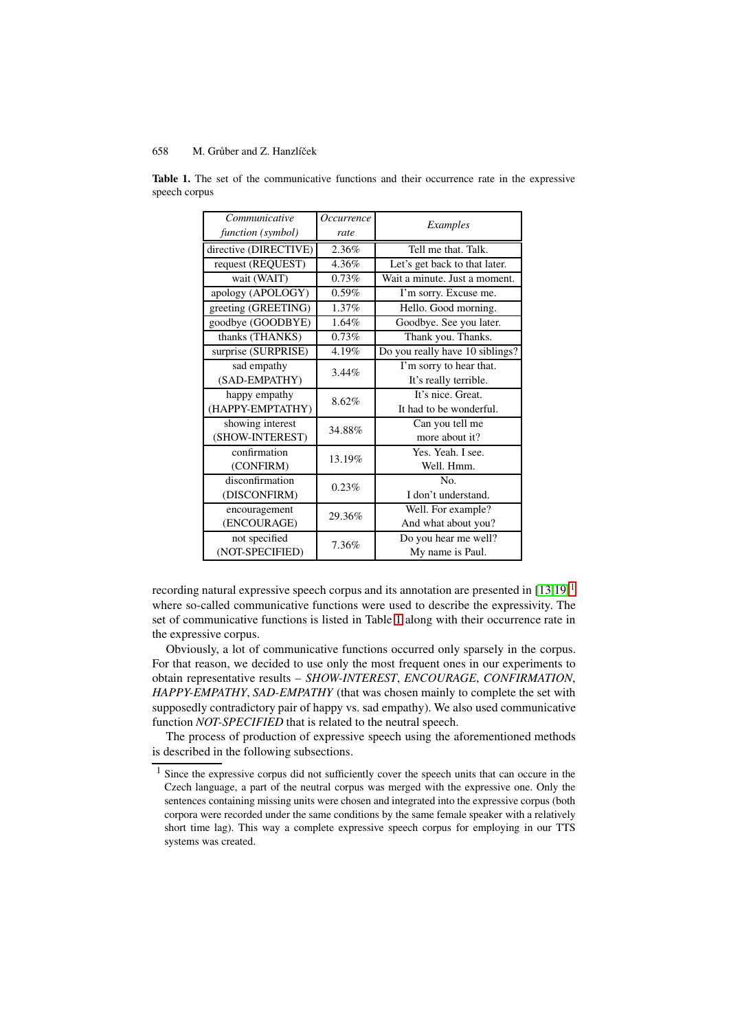<span id="page-2-1"></span>

| Communicative         | Occurrence | Examples                        |  |
|-----------------------|------------|---------------------------------|--|
| function (symbol)     | rate       |                                 |  |
| directive (DIRECTIVE) | 2.36%      | Tell me that. Talk.             |  |
| request (REQUEST)     | 4.36%      | Let's get back to that later.   |  |
| wait (WAIT)           | 0.73%      | Wait a minute. Just a moment.   |  |
| apology (APOLOGY)     | 0.59%      | I'm sorry. Excuse me.           |  |
| greeting (GREETING)   | 1.37%      | Hello. Good morning.            |  |
| goodbye (GOODBYE)     | 1.64%      | Goodbye. See you later.         |  |
| thanks (THANKS)       | 0.73%      | Thank you. Thanks.              |  |
| surprise (SURPRISE)   | 4.19%      | Do you really have 10 siblings? |  |
| sad empathy           | 3.44%      | I'm sorry to hear that.         |  |
| (SAD-EMPATHY)         |            | It's really terrible.           |  |
| happy empathy         | 8.62%      | It's nice. Great.               |  |
| (HAPPY-EMPTATHY)      |            | It had to be wonderful.         |  |
| showing interest      | 34.88%     | Can you tell me                 |  |
| (SHOW-INTEREST)       |            | more about it?                  |  |
| confirmation          | 13.19%     | Yes. Yeah. I see.               |  |
| (CONFIRM)             |            | Well. Hmm.                      |  |
| disconfirmation       | 0.23%      | N <sub>0</sub>                  |  |
| (DISCONFIRM)          |            | I don't understand.             |  |
| encouragement         | 29.36%     | Well. For example?              |  |
| (ENCOURAGE)           |            | And what about you?             |  |
| not specified         | 7.36%      | Do you hear me well?            |  |
| (NOT-SPECIFIED)       |            | My name is Paul.                |  |

Table 1. The set of the communicative functions and their occurrence rate in the expressive speech corpus

recording natural expressive speech corpus and its annotation are presented in  $[13,19]$  $[13,19]$ <sup>[1](#page-2-0)</sup> where so-called communicative functions were used to describe the expressivity. The set of communicative functions is listed in Table [1](#page-2-1) along with their occurrence rate in the expressive corpus.

Obviously, a lot of communicative functions occurred only sparsely in the corpus. For that reason, we decided to use only the most frequent ones in our experiments to obtain representative results – *SHOW-INTEREST*, *ENCOURAGE*, *CONFIRMATION*, *HAPPY-EMPATHY*, *SAD-EMPATHY* (that was chosen mainly to complete the set with supposedly contradictory pair of happy vs. sad empathy). We also used communicative function *NOT-SPECIFIED* that is related to the neutral speech.

The process of production of expressive speech using the aforementioned methods is described in the following subsections.

<span id="page-2-0"></span><sup>&</sup>lt;sup>1</sup> Since the expressive corpus did not sufficiently cover the speech units that can occure in the Czech language, a part of the neutral corpus was merged with the expressive one. Only the sentences containing missing units were chosen and integrated into the expressive corpus (both corpora were recorded under the same conditions by the same female speaker with a relatively short time lag). This way a complete expressive speech corpus for employing in our TTS systems was created.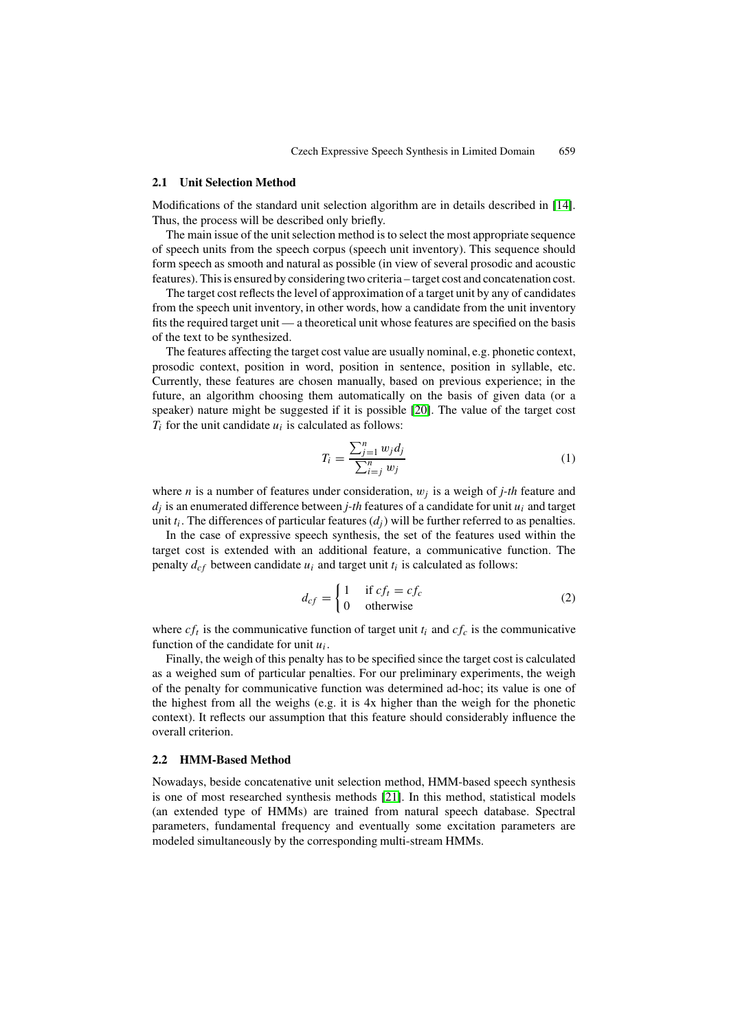### **2.1 Unit Selection Method**

Modifications of the standard unit selection algorithm are in details described in [\[14\]](#page-8-5). Thus, the process will be described only briefly.

The main issue of the unit selection method is to select the most appropriate sequence of speech units from the speech corpus (speech unit inventory). This sequence should form speech as smooth and natural as possible (in view of several prosodic and acoustic features). This is ensured by considering two criteria – target cost and concatenation cost.

The target cost reflects the level of approximation of a target unit by any of candidates from the speech unit inventory, in other words, how a candidate from the unit inventory fits the required target unit — a theoretical unit whose features are specified on the basis of the text to be synthesized.

The features affecting the target cost value are usually nominal, e.g. phonetic context, prosodic context, position in word, position in sentence, position in syllable, etc. Currently, these features are chosen manually, based on previous experience; in the future, an algorithm choosing them automatically on the basis of given data (or a speaker) nature might be suggested if it is possible [\[20\]](#page-8-11). The value of the target cost  $T_i$  for the unit candidate  $u_i$  is calculated as follows:

$$
T_i = \frac{\sum_{j=1}^{n} w_j d_j}{\sum_{i=j}^{n} w_j}
$$
 (1)

where *n* is a number of features under consideration, *w<sup>j</sup>* is a weigh of *j-th* feature and  $d_i$  is an enumerated difference between *j-th* features of a candidate for unit  $u_i$  and target unit  $t_i$ . The differences of particular features  $(d_i)$  will be further referred to as penalties.

In the case of expressive speech synthesis, the set of the features used within the target cost is extended with an additional feature, a communicative function. The penalty  $d_{cf}$  between candidate  $u_i$  and target unit  $t_i$  is calculated as follows:

$$
d_{cf} = \begin{cases} 1 & \text{if } cf_t = cf_c \\ 0 & \text{otherwise} \end{cases}
$$
 (2)

where  $cf_t$  is the communicative function of target unit  $t_i$  and  $cf_c$  is the communicative function of the candidate for unit *ui* .

Finally, the weigh of this penalty has to be specified since the target cost is calculated as a weighed sum of particular penalties. For our preliminary experiments, the weigh of the penalty for communicative function was determined ad-hoc; its value is one of the highest from all the weighs (e.g. it is 4x higher than the weigh for the phonetic context). It reflects our assumption that this feature should considerably influence the overall criterion.

### **2.2 HMM-Based Method**

Nowadays, beside concatenative unit selection method, HMM-based speech synthesis is one of most researched synthesis methods [\[21\]](#page-8-12). In this method, statistical models (an extended type of HMMs) are trained from natural speech database. Spectral parameters, fundamental frequency and eventually some excitation parameters are modeled simultaneously by the corresponding multi-stream HMMs.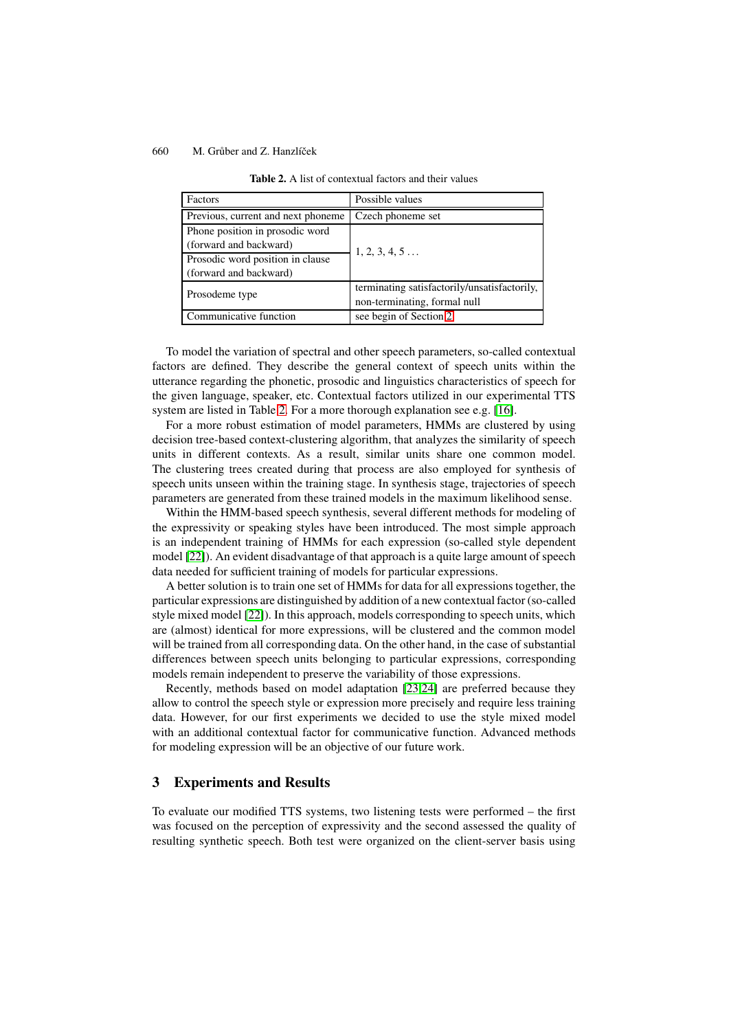| Factors                            | Possible values                              |  |
|------------------------------------|----------------------------------------------|--|
| Previous, current and next phoneme | Czech phoneme set                            |  |
| Phone position in prosodic word    |                                              |  |
| (forward and backward)             | 1, 2, 3, 4, 5                                |  |
| Prosodic word position in clause   |                                              |  |
| (forward and backward)             |                                              |  |
| Prosodeme type                     | terminating satisfactorily/unsatisfactorily, |  |
|                                    | non-terminating, formal null                 |  |
| Communicative function             | see begin of Section 2                       |  |

<span id="page-4-1"></span>**Table 2.** A list of contextual factors and their values

To model the variation of spectral and other speech parameters, so-called contextual factors are defined. They describe the general context of speech units within the utterance regarding the phonetic, prosodic and linguistics characteristics of speech for the given language, speaker, etc. Contextual factors utilized in our experimental TTS system are listed in Table [2.](#page-4-1) For a more thorough explanation see e.g. [\[16\]](#page-8-7).

For a more robust estimation of model parameters, HMMs are clustered by using decision tree-based context-clustering algorithm, that analyzes the similarity of speech units in different contexts. As a result, similar units share one common model. The clustering trees created during that process are also employed for synthesis of speech units unseen within the training stage. In synthesis stage, trajectories of speech parameters are generated from these trained models in the maximum likelihood sense.

Within the HMM-based speech synthesis, several different methods for modeling of the expressivity or speaking styles have been introduced. The most simple approach is an independent training of HMMs for each expression (so-called style dependent model [\[22\]](#page-8-13)). An evident disadvantage of that approach is a quite large amount of speech data needed for sufficient training of models for particular expressions.

A better solution is to train one set of HMMs for data for all expressions together, the particular expressions are distinguished by addition of a new contextual factor (so-called style mixed model [\[22\]](#page-8-13)). In this approach, models corresponding to speech units, which are (almost) identical for more expressions, will be clustered and the common model will be trained from all corresponding data. On the other hand, in the case of substantial differences between speech units belonging to particular expressions, corresponding models remain independent to preserve the variability of those expressions.

Recently, methods based on model adaptation [\[23](#page-8-14)[,24\]](#page-8-15) are preferred because they allow to control the speech style or expression more precisely and require less training data. However, for our first experiments we decided to use the style mixed model with an additional contextual factor for communicative function. Advanced methods for modeling expression will be an objective of our future work.

## <span id="page-4-0"></span>**3 Experiments and Results**

To evaluate our modified TTS systems, two listening tests were performed – the first was focused on the perception of expressivity and the second assessed the quality of resulting synthetic speech. Both test were organized on the client-server basis using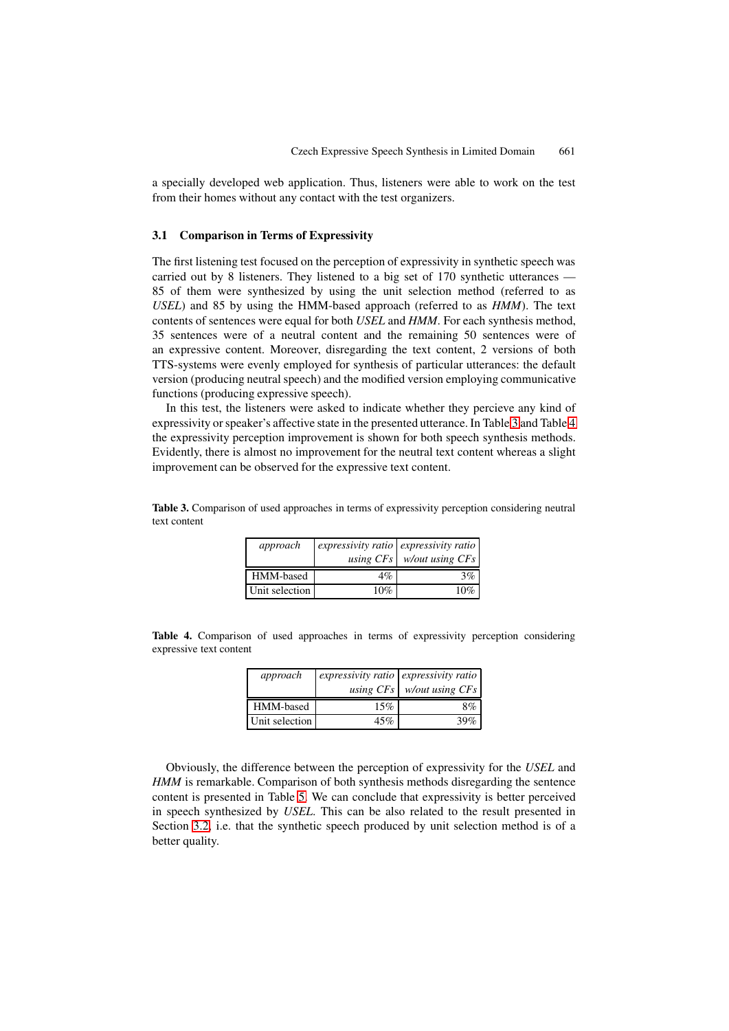a specially developed web application. Thus, listeners were able to work on the test from their homes without any contact with the test organizers.

#### **3.1 Comparison in Terms of Expressivity**

The first listening test focused on the perception of expressivity in synthetic speech was carried out by 8 listeners. They listened to a big set of 170 synthetic utterances — 85 of them were synthesized by using the unit selection method (referred to as *USEL*) and 85 by using the HMM-based approach (referred to as *HMM*). The text contents of sentences were equal for both *USEL* and *HMM*. For each synthesis method, 35 sentences were of a neutral content and the remaining 50 sentences were of an expressive content. Moreover, disregarding the text content, 2 versions of both TTS-systems were evenly employed for synthesis of particular utterances: the default version (producing neutral speech) and the modified version employing communicative functions (producing expressive speech).

In this test, the listeners were asked to indicate whether they percieve any kind of expressivity or speaker's affective state in the presented utterance. In Table [3](#page-5-0) and Table [4](#page-5-1) the expressivity perception improvement is shown for both speech synthesis methods. Evidently, there is almost no improvement for the neutral text content whereas a slight improvement can be observed for the expressive text content.

<span id="page-5-0"></span>**Table 3.** Comparison of used approaches in terms of expressivity perception considering neutral text content

| approach       | expressivity ratio expressivity ratio |                               |
|----------------|---------------------------------------|-------------------------------|
|                |                                       | using $CFs$ w/out using $CFs$ |
| HMM-based      | $4\%$                                 | 3%                            |
| Unit selection | 10%                                   | 10%                           |

<span id="page-5-1"></span>**Table 4.** Comparison of used approaches in terms of expressivity perception considering expressive text content

| approach       | $\exp$ <i>expressivity ratio expressivity ratio</i> |                               |  |
|----------------|-----------------------------------------------------|-------------------------------|--|
|                |                                                     | using $CFs$ w/out using $CFs$ |  |
| HMM-based      | 15%                                                 | 8%                            |  |
| Unit selection | 45%                                                 | 39%                           |  |

Obviously, the difference between the perception of expressivity for the *USEL* and *HMM* is remarkable. Comparison of both synthesis methods disregarding the sentence content is presented in Table [5.](#page-6-1) We can conclude that expressivity is better perceived in speech synthesized by *USEL*. This can be also related to the result presented in Section [3.2,](#page-6-2) i.e. that the synthetic speech produced by unit selection method is of a better quality.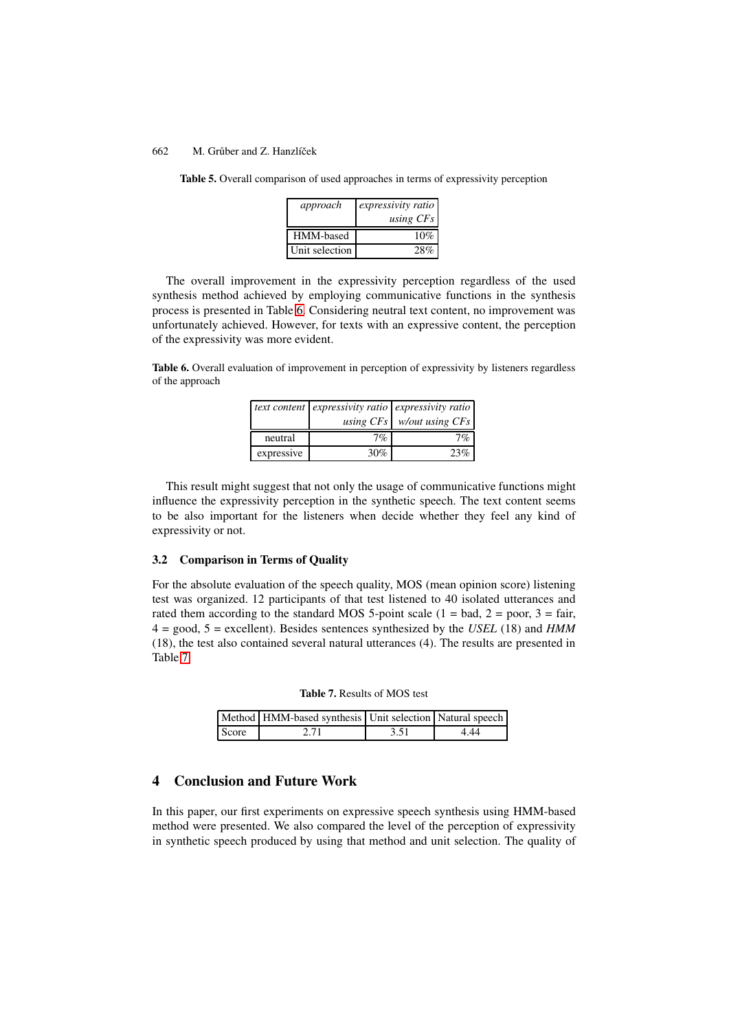| approach       | expressivity ratio<br>using CFs |
|----------------|---------------------------------|
| HMM-based      | 10%                             |
| Unit selection | 28%                             |

<span id="page-6-1"></span>**Table 5.** Overall comparison of used approaches in terms of expressivity perception

The overall improvement in the expressivity perception regardless of the used synthesis method achieved by employing communicative functions in the synthesis process is presented in Table [6.](#page-6-3) Considering neutral text content, no improvement was unfortunately achieved. However, for texts with an expressive content, the perception of the expressivity was more evident.

<span id="page-6-3"></span>**Table 6.** Overall evaluation of improvement in perception of expressivity by listeners regardless of the approach

|            | text content expressivity ratio expressivity ratio |                               |
|------------|----------------------------------------------------|-------------------------------|
|            |                                                    | using $CFs$ w/out using $CFs$ |
| neutral    | 7%                                                 | 7%                            |
| expressive | 30%                                                | 23%                           |

This result might suggest that not only the usage of communicative functions might influence the expressivity perception in the synthetic speech. The text content seems to be also important for the listeners when decide whether they feel any kind of expressivity or not.

#### <span id="page-6-2"></span>**3.2 Comparison in Terms of Quality**

For the absolute evaluation of the speech quality, MOS (mean opinion score) listening test was organized. 12 participants of that test listened to 40 isolated utterances and rated them according to the standard MOS 5-point scale  $(1 = bad, 2 = poor, 3 = fair,$ 4 = good, 5 = excellent). Besides sentences synthesized by the *USEL* (18) and *HMM* (18), the test also contained several natural utterances (4). The results are presented in Table [7.](#page-6-4)

<span id="page-6-4"></span>**Table 7.** Results of MOS test

|              | Method HMM-based synthesis Unit selection Natural speech |      |      |
|--------------|----------------------------------------------------------|------|------|
| <b>Score</b> |                                                          | 3.51 | 4 44 |

# <span id="page-6-0"></span>**4 Conclusion and Future Work**

In this paper, our first experiments on expressive speech synthesis using HMM-based method were presented. We also compared the level of the perception of expressivity in synthetic speech produced by using that method and unit selection. The quality of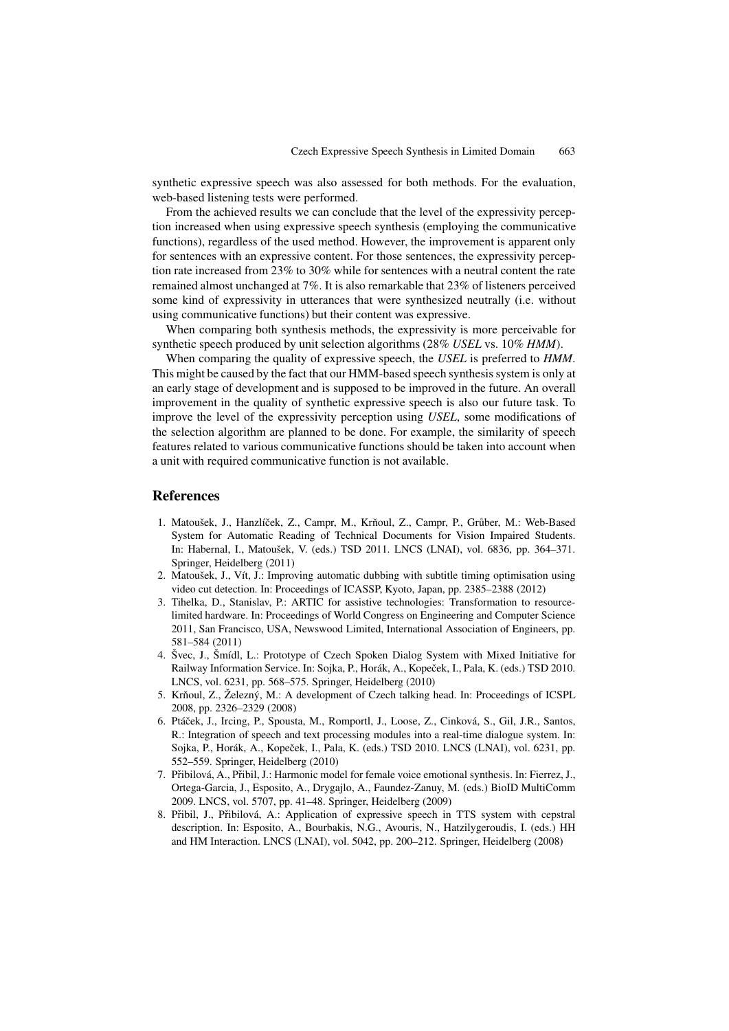synthetic expressive speech was also assessed for both methods. For the evaluation, web-based listening tests were performed.

From the achieved results we can conclude that the level of the expressivity perception increased when using expressive speech synthesis (employing the communicative functions), regardless of the used method. However, the improvement is apparent only for sentences with an expressive content. For those sentences, the expressivity perception rate increased from 23% to 30% while for sentences with a neutral content the rate remained almost unchanged at 7%. It is also remarkable that 23% of listeners perceived some kind of expressivity in utterances that were synthesized neutrally (i.e. without using communicative functions) but their content was expressive.

When comparing both synthesis methods, the expressivity is more perceivable for synthetic speech produced by unit selection algorithms (28% *USEL* vs. 10% *HMM*).

When comparing the quality of expressive speech, the *USEL* is preferred to *HMM*. This might be caused by the fact that our HMM-based speech synthesis system is only at an early stage of development and is supposed to be improved in the future. An overall improvement in the quality of synthetic expressive speech is also our future task. To improve the level of the expressivity perception using *USEL*, some modifications of the selection algorithm are planned to be done. For example, the similarity of speech features related to various communicative functions should be taken into account when a unit with required communicative function is not available.

### <span id="page-7-6"></span><span id="page-7-0"></span>**References**

- 1. Matoušek, J., Hanzlíček, Z., Campr, M., Krňoul, Z., Campr, P., Grůber, M.: Web-Based System for Automatic Reading of Technical Documents for Vision Impaired Students. In: Habernal, I., Matoušek, V. (eds.) TSD 2011. LNCS (LNAI), vol. 6836, pp. 364–371. Springer, Heidelberg (2011)
- <span id="page-7-1"></span>2. Matoušek, J., Vít, J.: Improving automatic dubbing with subtitle timing optimisation using video cut detection. In: Proceedings of ICASSP, Kyoto, Japan, pp. 2385–2388 (2012)
- <span id="page-7-2"></span>3. Tihelka, D., Stanislav, P.: ARTIC for assistive technologies: Transformation to resourcelimited hardware. In: Proceedings of World Congress on Engineering and Computer Science 2011, San Francisco, USA, Newswood Limited, International Association of Engineers, pp. 581–584 (2011)
- <span id="page-7-3"></span>4. Švec, J., Šmídl, L.: Prototype of Czech Spoken Dialog System with Mixed Initiative for Railway Information Service. In: Sojka, P., Horák, A., Kopeček, I., Pala, K. (eds.) TSD 2010. LNCS, vol. 6231, pp. 568–575. Springer, Heidelberg (2010)
- <span id="page-7-4"></span>5. Krňoul, Z., Železný, M.: A development of Czech talking head. In: Proceedings of ICSPL 2008, pp. 2326–2329 (2008)
- <span id="page-7-5"></span>6. Ptáček, J., Ircing, P., Spousta, M., Romportl, J., Loose, Z., Cinková, S., Gil, J.R., Santos, R.: Integration of speech and text processing modules into a real-time dialogue system. In: Sojka, P., Horák, A., Kopeček, I., Pala, K. (eds.) TSD 2010. LNCS (LNAI), vol. 6231, pp. 552–559. Springer, Heidelberg (2010)
- <span id="page-7-7"></span>7. Přibilová, A., Přibil, J.: Harmonic model for female voice emotional synthesis. In: Fierrez, J., Ortega-Garcia, J., Esposito, A., Drygajlo, A., Faundez-Zanuy, M. (eds.) BioID MultiComm 2009. LNCS, vol. 5707, pp. 41–48. Springer, Heidelberg (2009)
- <span id="page-7-8"></span>8. Přibil, J., Přibilová, A.: Application of expressive speech in TTS system with cepstral description. In: Esposito, A., Bourbakis, N.G., Avouris, N., Hatzilygeroudis, I. (eds.) HH and HM Interaction. LNCS (LNAI), vol. 5042, pp. 200–212. Springer, Heidelberg (2008)